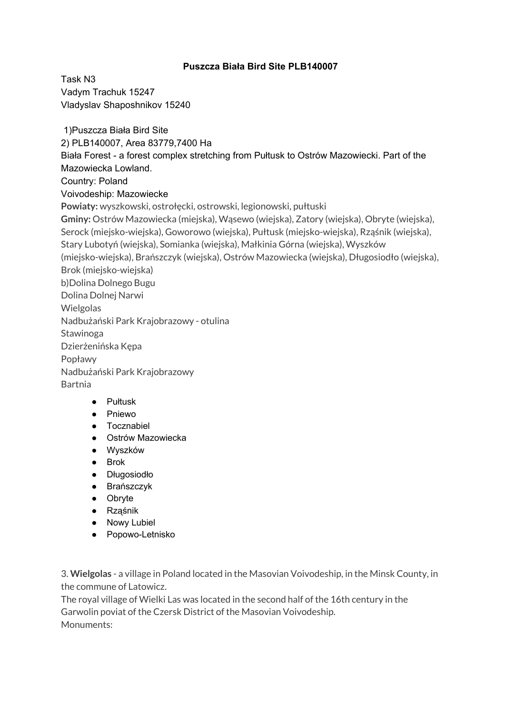## **Puszcza Biała Bird Site PLB140007**

Task N3 Vadym Trachuk 15247 Vladyslav Shaposhnikov 15240

1)Puszcza Biała Bird Site 2) PLB140007, Area 83779,7400 Ha Biała Forest - a forest complex stretching from Pułtusk to Ostrów Mazowiecki. Part of the Mazowiecka Lowland. Country: Poland Voivodeship: Mazowiecke **Powiaty:** wyszkowski, ostrołęcki, ostrowski, legionowski, pułtuski **Gminy:** Ostrów Mazowiecka (miejska), Wąsewo (wiejska), Zatory (wiejska), Obryte (wiejska), Serock (miejsko-wiejska), Goworowo (wiejska), Pułtusk (miejsko-wiejska), Rząśnik (wiejska), Stary Lubotyń (wiejska), Somianka (wiejska), Małkinia Górna (wiejska), Wyszków (miejsko-wiejska), Brańszczyk (wiejska), Ostrów Mazowiecka (wiejska), Długosiodło (wiejska), Brok (miejsko-wiejska) b)Dolina Dolnego Bugu Dolina Dolnej Narwi **Wielgolas** Nadbużański Park Krajobrazowy - otulina Stawinoga Dzierżenińska Kępa Popławy Nadbużański Park Krajobrazowy Bartnia ● [Pułtusk](https://en.wikipedia.org/wiki/Pu%C5%82tusk)

- 
- [Pniewo](https://en.wikipedia.org/wiki/Pniewo,_Pu%C5%82tusk_County)
- [Tocznabiel](https://en.wikipedia.org/wiki/Tocznabiel)
- [Ostrów Mazowiecka](https://en.wikipedia.org/wiki/Ostr%C3%B3w_Mazowiecka)
- [Wyszków](https://en.wikipedia.org/wiki/Wyszk%C3%B3w)
- [Brok](https://en.wikipedia.org/wiki/Brok,_Masovian_Voivodeship)
- [Długosiodło](https://en.wikipedia.org/wiki/D%C5%82ugosiod%C5%82o)
- [Brańszczyk](https://en.wikipedia.org/wiki/Bra%C5%84szczyk)
- [Obryte](https://en.wikipedia.org/wiki/Obryte)
- [Rząśnik](https://en.wikipedia.org/wiki/Rz%C4%85%C5%9Bnik,_Wyszk%C3%B3w_County)
- [Nowy Lubiel](https://en.wikipedia.org/wiki/Nowy_Lubiel)
- [Popowo-Letnisko](https://en.wikipedia.org/wiki/Popowo-Letnisko)

3. **Wielgolas** - a village in Poland located in the Masovian Voivodeship, in the Minsk County, in the commune of Latowicz.

The royal village of Wielki Las was located in the second half of the 16th century in the Garwolin poviat of the Czersk District of the Masovian Voivodeship. Monuments: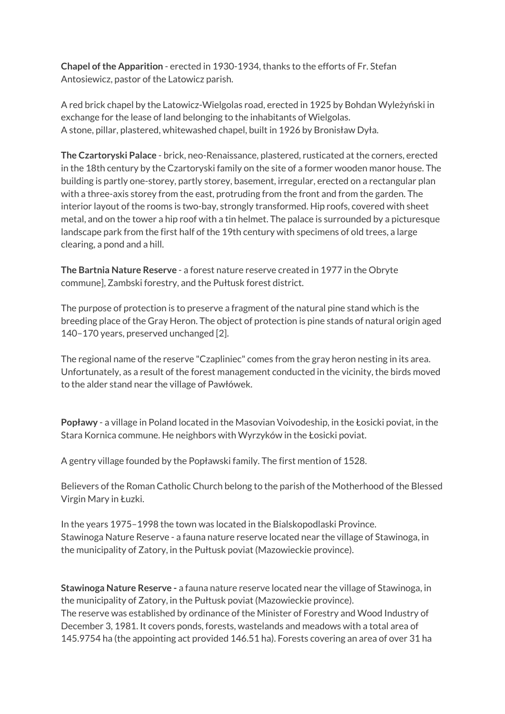**Chapel ofthe Apparition** - erected in 1930-1934, thanks to the efforts of Fr. Stefan Antosiewicz, pastor of the Latowicz parish.

A red brick chapel by the Latowicz-Wielgolas road, erected in 1925 by Bohdan Wyleżyński in exchange for the lease of land belonging to the inhabitants of Wielgolas. A stone, pillar, plastered, whitewashed chapel, built in 1926 by Bronisław Dyła.

**The Czartoryski Palace** - brick, neo-Renaissance, plastered, rusticated at the corners, erected in the 18th century by the Czartoryski family on the site of a former wooden manor house. The building is partly one-storey, partly storey, basement, irregular, erected on a rectangular plan with a three-axis storey from the east, protruding from the front and from the garden. The interior layout of the rooms is two-bay, strongly transformed. Hip roofs, covered with sheet metal, and on the tower a hip roof with a tin helmet. The palace is surrounded by a picturesque landscape park from the first half of the 19th century with specimens of old trees, a large clearing, a pond and a hill.

**The Bartnia Nature Reserve** - a forest nature reserve created in 1977 in the Obryte commune], Zambski forestry, and the Pułtusk forest district.

The purpose of protection is to preserve a fragment of the natural pine stand which is the breeding place of the Gray Heron. The object of protection is pine stands of natural origin aged 140–170 years, preserved unchanged [2].

The regional name of the reserve "Czapliniec" comes from the gray heron nesting in its area. Unfortunately, as a result of the forest management conducted in the vicinity, the birds moved to the alder stand near the village of Pawłówek.

**Popławy** - a village in Poland located in the Masovian Voivodeship, in the Łosicki poviat, in the Stara Kornica commune. He neighbors with Wyrzyków in the Łosicki poviat.

A gentry village founded by the Popławski family. The first mention of 1528.

Believers of the Roman Catholic Church belong to the parish of the Motherhood of the Blessed Virgin Mary in Łuzki.

In the years 1975–1998 the town was located in the Bialskopodlaski Province. Stawinoga Nature Reserve - a fauna nature reserve located near the village of Stawinoga, in the municipality of Zatory, in the Pułtusk poviat (Mazowieckie province).

**Stawinoga Nature Reserve -** a fauna nature reserve located near the village of Stawinoga, in the municipality of Zatory, in the Pułtusk poviat (Mazowieckie province). The reserve was established by ordinance of the Minister of Forestry and Wood Industry of December 3, 1981. It covers ponds, forests, wastelands and meadows with a total area of 145.9754 ha (the appointing act provided 146.51 ha). Forests covering an area of over 31 ha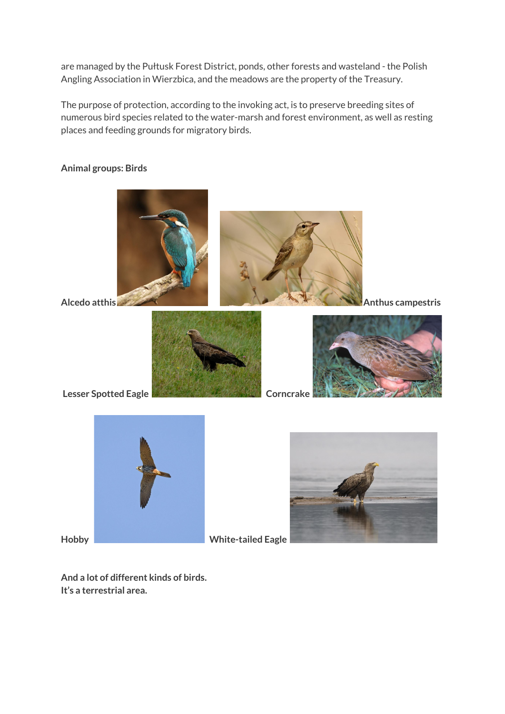are managed by the Pułtusk Forest District, ponds, other forests and wasteland - the Polish Angling Association in Wierzbica, and the meadows are the property of the Treasury.

The purpose of protection, according to the invoking act, is to preserve breeding sites of numerous bird species related to the water-marsh and forest environment, as well as resting places and feeding grounds for migratory birds.

## **Animal groups: Birds**



**And a lot of different kinds of birds. It's a terrestrial area.**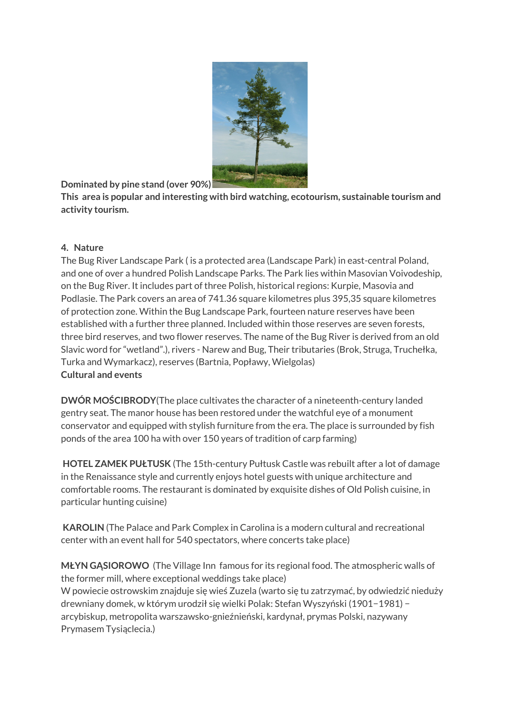

**Dominated by pine stand (over 90%)**

**This area is popular and interesting with bird watching, ecotourism, sustainable tourism and activity tourism.**

## **4. Nature**

The Bug River Landscape Park ( is a protected area (Landscape Park) in east-central Poland, and one of over a hundred Polish Landscape Parks. The Park lies within Masovian Voivodeship, on the Bug River. It includes part of three Polish, historical regions: Kurpie, Masovia and Podlasie. The Park covers an area of 741.36 square kilometres plus 395,35 square kilometres of protection zone. Within the Bug Landscape Park, fourteen nature reserves have been established with a further three planned. Included within those reserves are seven forests, three bird reserves, and two flower reserves. The name of the Bug River is derived from an old Slavic word for "wetland".), rivers - Narew and Bug, Their tributaries (Brok, Struga, Truchełka, Turka and Wymarkacz), reserves (Bartnia, Popławy, Wielgolas) **Cultural and events**

**DWÓR MOŚCIBRODY**(The place cultivates the character of a nineteenth-century landed gentry seat. The manor house has been restored under the watchful eye of a monument conservator and equipped with stylish furniture from the era. The place is surrounded by fish ponds of the area 100 ha with over 150 years of tradition of carp farming)

**HOTEL ZAMEK PUŁTUSK** (The 15th-century Pułtusk Castle was rebuilt after a lot of damage in the Renaissance style and currently enjoys hotel guests with unique architecture and comfortable rooms. The restaurant is dominated by exquisite dishes of Old Polish cuisine, in particular hunting cuisine)

**KAROLIN** (The Palace and Park Complex in Carolina is a modern cultural and recreational center with an event hall for 540 spectators, where concerts take place)

**MŁYN GĄSIOROWO** (The Village Inn famous for its regional food. The atmospheric walls of the former mill, where exceptional weddings take place) W powiecie ostrowskim znajduje się wieś Zuzela (warto się tu zatrzymać, by odwiedzić nieduży drewniany domek, w którym urodził się wielki Polak: Stefan Wyszyński (1901−1981) − arcybiskup, metropolita warszawsko-gnieźnieński, kardynał, prymas Polski, nazywany Prymasem Tysiąclecia.)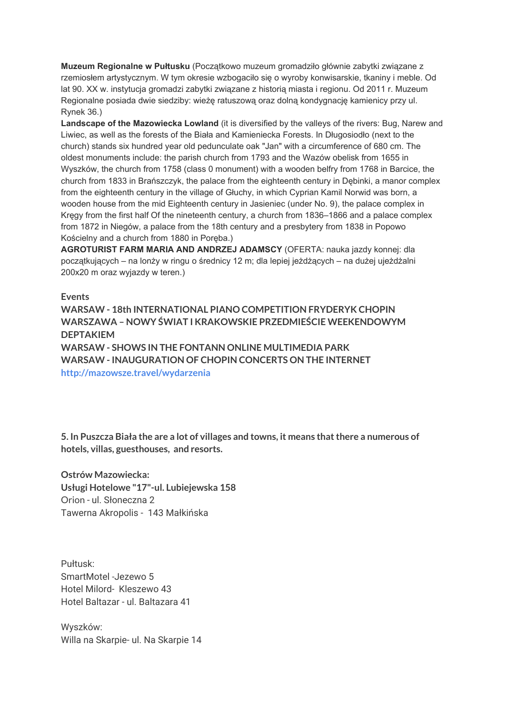**Muzeum Regionalne w Pułtusku** (Początkowo muzeum gromadziło głównie zabytki związane z rzemiosłem artystycznym. W tym okresie wzbogaciło się o wyroby konwisarskie, tkaniny i meble. Od lat 90. XX w. instytucja gromadzi zabytki związane z historią miasta i regionu. Od 2011 r. Muzeum Regionalne posiada dwie siedziby: wieżę ratuszową oraz dolną kondygnację kamienicy przy ul. Rynek 36.)

**Landscape of the Mazowiecka Lowland** (it is diversified by the valleys of the rivers: Bug, Narew and Liwiec, as well as the forests of the Biała and Kamieniecka Forests. In Długosiodło (next to the church) stands six hundred year old pedunculate oak "Jan" with a circumference of 680 cm. The oldest monuments include: the parish church from 1793 and the Wazów obelisk from 1655 in Wyszków, the church from 1758 (class 0 monument) with a wooden belfry from 1768 in Barcice, the church from 1833 in Brańszczyk, the palace from the eighteenth century in Dębinki, a manor complex from the eighteenth century in the village of Głuchy, in which Cyprian Kamil Norwid was born, a wooden house from the mid Eighteenth century in Jasieniec (under No. 9), the palace complex in Kręgy from the first half Of the nineteenth century, a church from 1836–1866 and a palace complex from 1872 in Niegów, a palace from the 18th century and a presbytery from 1838 in Popowo Kościelny and a church from 1880 in Poręba.)

**AGROTURIST FARM MARIA AND ANDRZEJ ADAMSCY** (OFERTA: nauka jazdy konnej: dla początkujących – na lonży w ringu o średnicy 12 m; dla lepiej jeżdżących – na dużej ujeżdżalni 200x20 m oraz wyjazdy w teren.)

**Events**

**WARSAW - 18th INTERNATIONAL PIANO COMPETITION FRYDERYK CHOPIN WARSZAWA – NOWY ŚWIAT I KRAKOWSKIE PRZEDMIEŚCIE WEEKENDOWYM DEPTAKIEM WARSAW - SHOWS IN THE FONTANN ONLINE MULTIMEDIA PARK WARSAW - INAUGURATION OF CHOPIN CONCERTS ON THE INTERNET http://mazowsze.travel/wydarzenia**

**5. In Puszcza Biała the are a lot of villages and towns, it means thatthere a numerous of hotels, villas, guesthouses, and resorts.**

**Ostrów Mazowiecka: Usługi Hotelowe "17"-ul. Lubiejewska 158** Orion - ul. Słoneczna 2 Tawerna Akropolis - 143 Małkińska

Pułtusk: SmartMotel -Jezewo 5 Hotel Milord-Kleszewo 43 Hotel Baltazar - ul. Baltazara 41

Wyszków: Willa na Skarpie- ul. Na Skarpie 14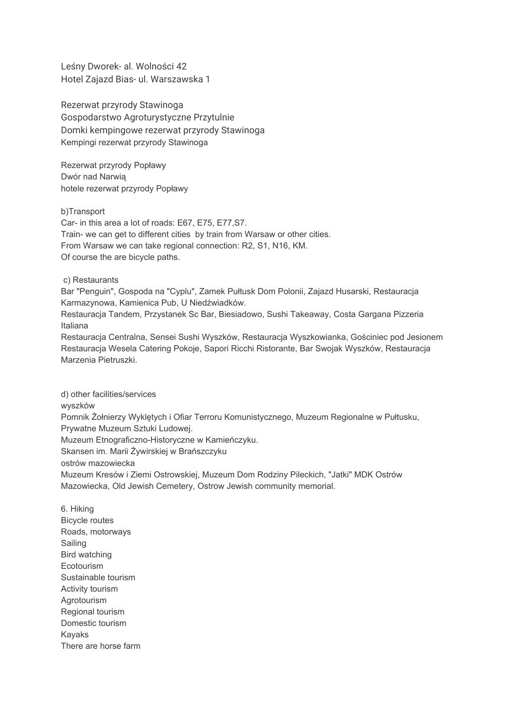Leśny Dworek- al. Wolności 42 Hotel Zajazd Bias- ul. Warszawska 1

Rezerwat przyrody Stawinoga Gospodarstwo Agroturystyczne Przytulnie Domki kempingowe rezerwat przyrody Stawinoga Kempingi rezerwat przyrody Stawinoga

Rezerwat przyrody Popławy Dwór nad Narwią hotele rezerwat przyrody Popławy

b)Transport

Car- in this area a lot of roads: E67, E75, E77,S7. Train- we can get to different cities by train from Warsaw or other cities. From Warsaw we can take regional connection: R2, S1, N16, KM. Of course the are bicycle paths.

c) Restaurants

Bar "Penguin", Gospoda na "Cyplu", Zamek Pułtusk Dom Polonii, Zajazd Husarski, Restauracja Karmazynowa, Kamienica Pub, U Niedźwiadków.

Restauracja Tandem, Przystanek Sc Bar, Biesiadowo, Sushi Takeaway, Costa Gargana Pizzeria Italiana

Restauracja Centralna, Sensei Sushi Wyszków, Restauracja Wyszkowianka, Gościniec pod Jesionem Restauracja Wesela Catering Pokoje, Sapori Ricchi Ristorante, Bar Swojak Wyszków, Restauracja Marzenia Pietruszki.

d) other facilities/services wyszków Pomnik Żołnierzy Wyklętych i Ofiar Terroru Komunistycznego, Muzeum Regionalne w Pułtusku, Prywatne Muzeum Sztuki Ludowej. Muzeum Etnograficzno-Historyczne w Kamieńczyku. Skansen im. Marii Żywirskiej w Brańszczyku ostrów mazowiecka Muzeum Kresów i Ziemi Ostrowskiej, Muzeum Dom Rodziny Pileckich, "Jatki" MDK Ostrów Mazowiecka, Old Jewish Cemetery, Ostrow Jewish community memorial.

6. Hiking Bicycle routes Roads, motorways Sailing Bird watching Ecotourism Sustainable tourism Activity tourism Agrotourism Regional tourism Domestic tourism Kayaks There are horse farm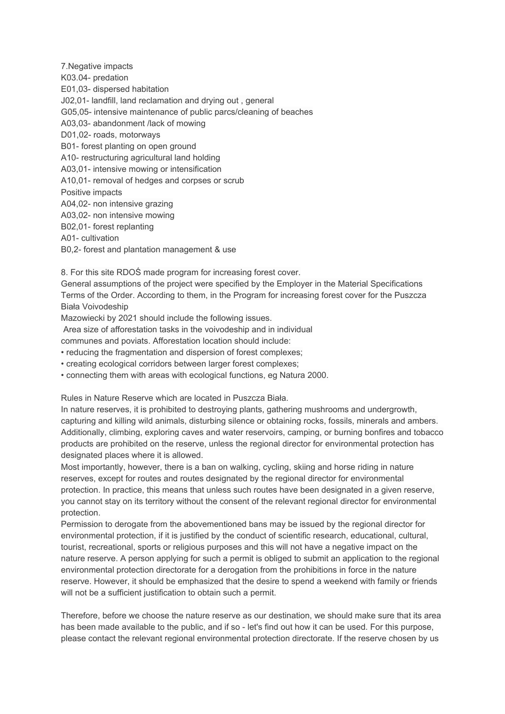7.Negative impacts K03.04- predation E01,03- dispersed habitation J02,01- landfill, land reclamation and drying out , general G05,05- intensive maintenance of public parcs/cleaning of beaches A03,03- abandonment /lack of mowing D01,02- roads, motorways B01- forest planting on open ground A10- restructuring agricultural land holding A03,01- intensive mowing or intensification A10,01- removal of hedges and corpses or scrub Positive impacts A04,02- non intensive grazing A03,02- non intensive mowing B02,01- forest replanting A01- cultivation

B0,2- forest and plantation management & use

8. For this site RDOŚ made program for increasing forest cover.

General assumptions of the project were specified by the Employer in the Material Specifications Terms of the Order. According to them, in the Program for increasing forest cover for the Puszcza Biała Voivodeship

Mazowiecki by 2021 should include the following issues.

Area size of afforestation tasks in the voivodeship and in individual

communes and poviats. Afforestation location should include:

• reducing the fragmentation and dispersion of forest complexes;

• creating ecological corridors between larger forest complexes;

• connecting them with areas with ecological functions, eg Natura 2000.

Rules in Nature Reserve which are located in Puszcza Biała.

In nature reserves, it is prohibited to destroying plants, gathering mushrooms and undergrowth, capturing and killing wild animals, disturbing silence or obtaining rocks, fossils, minerals and ambers. Additionally, climbing, exploring caves and water reservoirs, camping, or burning bonfires and tobacco products are prohibited on the reserve, unless the regional director for environmental protection has designated places where it is allowed.

Most importantly, however, there is a ban on walking, cycling, skiing and horse riding in nature reserves, except for routes and routes designated by the regional director for environmental protection. In practice, this means that unless such routes have been designated in a given reserve, you cannot stay on its territory without the consent of the relevant regional director for environmental protection.

Permission to derogate from the abovementioned bans may be issued by the regional director for environmental protection, if it is justified by the conduct of scientific research, educational, cultural, tourist, recreational, sports or religious purposes and this will not have a negative impact on the nature reserve. A person applying for such a permit is obliged to submit an application to the regional environmental protection directorate for a derogation from the prohibitions in force in the nature reserve. However, it should be emphasized that the desire to spend a weekend with family or friends will not be a sufficient justification to obtain such a permit.

Therefore, before we choose the nature reserve as our destination, we should make sure that its area has been made available to the public, and if so - let's find out how it can be used. For this purpose, please contact the relevant regional environmental protection directorate. If the reserve chosen by us